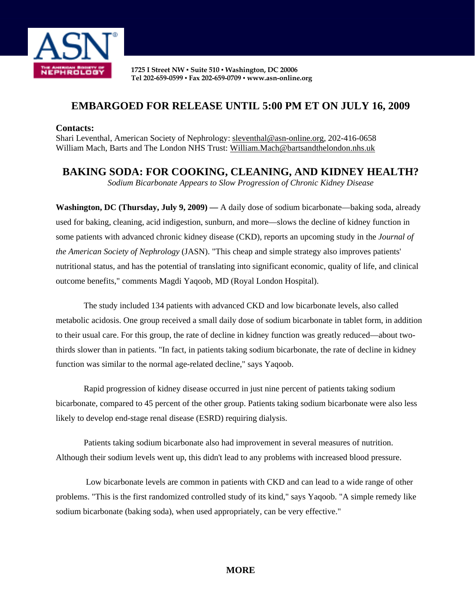

**1725 I Street NW ▪ Suite 510 ▪ Washington, DC 20006 Tel 202-659-0599 ▪ Fax 202-659-0709 ▪ www.asn-online.org**

## **EMBARGOED FOR RELEASE UNTIL 5:00 PM ET ON JULY 16, 2009**

## **Contacts:**

Shari Leventhal, American Society of Nephrology: sleventhal@asn-online.org, 202-416-0658 William Mach, Barts and The London NHS Trust: William.Mach@bartsandthelondon.nhs.uk

**BAKING SODA: FOR COOKING, CLEANING, AND KIDNEY HEALTH?** 

*Sodium Bicarbonate Appears to Slow Progression of Chronic Kidney Disease* 

**Washington, DC (Thursday, July 9, 2009) —** A daily dose of sodium bicarbonate—baking soda, already used for baking, cleaning, acid indigestion, sunburn, and more—slows the decline of kidney function in some patients with advanced chronic kidney disease (CKD), reports an upcoming study in the *Journal of the American Society of Nephrology* (JASN). "This cheap and simple strategy also improves patients' nutritional status, and has the potential of translating into significant economic, quality of life, and clinical outcome benefits," comments Magdi Yaqoob, MD (Royal London Hospital).

The study included 134 patients with advanced CKD and low bicarbonate levels, also called metabolic acidosis. One group received a small daily dose of sodium bicarbonate in tablet form, in addition to their usual care. For this group, the rate of decline in kidney function was greatly reduced—about twothirds slower than in patients. "In fact, in patients taking sodium bicarbonate, the rate of decline in kidney function was similar to the normal age-related decline," says Yaqoob.

Rapid progression of kidney disease occurred in just nine percent of patients taking sodium bicarbonate, compared to 45 percent of the other group. Patients taking sodium bicarbonate were also less likely to develop end-stage renal disease (ESRD) requiring dialysis.

Patients taking sodium bicarbonate also had improvement in several measures of nutrition. Although their sodium levels went up, this didn't lead to any problems with increased blood pressure.

 Low bicarbonate levels are common in patients with CKD and can lead to a wide range of other problems. "This is the first randomized controlled study of its kind," says Yaqoob. "A simple remedy like sodium bicarbonate (baking soda), when used appropriately, can be very effective."